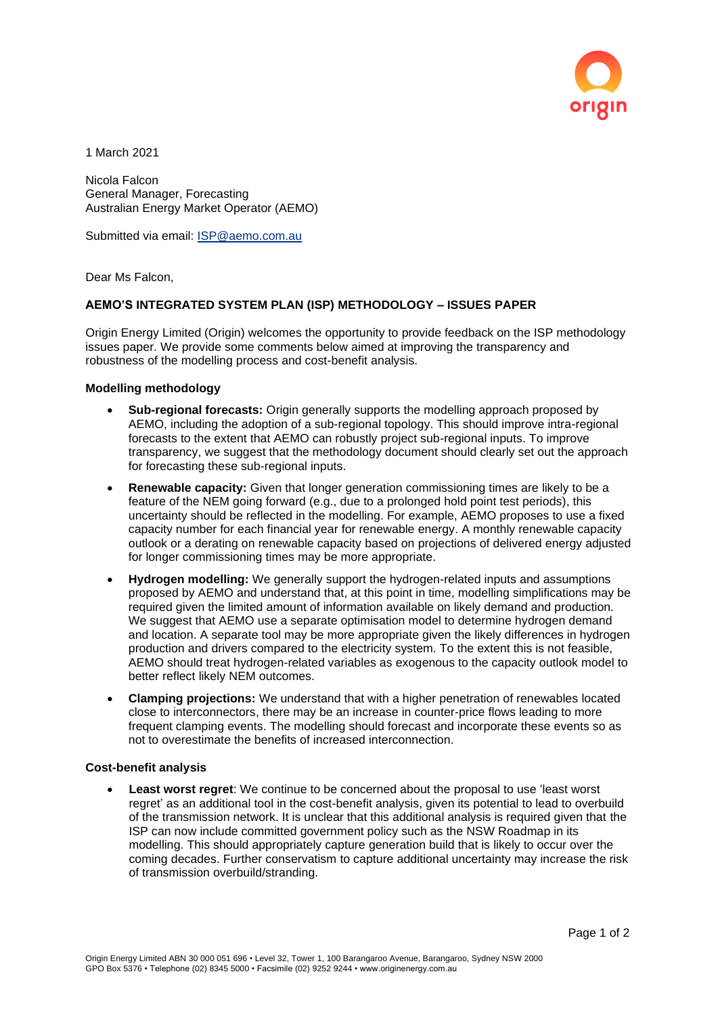

1 March 2021

Nicola Falcon General Manager, Forecasting Australian Energy Market Operator (AEMO)

Submitted via email: [ISP@aemo.com.au](mailto:ISP@aemo.com.au)

Dear Ms Falcon,

## **AEMO'S INTEGRATED SYSTEM PLAN (ISP) METHODOLOGY – ISSUES PAPER**

Origin Energy Limited (Origin) welcomes the opportunity to provide feedback on the ISP methodology issues paper. We provide some comments below aimed at improving the transparency and robustness of the modelling process and cost-benefit analysis.

## **Modelling methodology**

- **Sub-regional forecasts:** Origin generally supports the modelling approach proposed by AEMO, including the adoption of a sub-regional topology. This should improve intra-regional forecasts to the extent that AEMO can robustly project sub-regional inputs. To improve transparency, we suggest that the methodology document should clearly set out the approach for forecasting these sub-regional inputs.
- **Renewable capacity:** Given that longer generation commissioning times are likely to be a feature of the NEM going forward (e.g., due to a prolonged hold point test periods), this uncertainty should be reflected in the modelling. For example, AEMO proposes to use a fixed capacity number for each financial year for renewable energy. A monthly renewable capacity outlook or a derating on renewable capacity based on projections of delivered energy adjusted for longer commissioning times may be more appropriate.
- **Hydrogen modelling:** We generally support the hydrogen-related inputs and assumptions proposed by AEMO and understand that, at this point in time, modelling simplifications may be required given the limited amount of information available on likely demand and production. We suggest that AEMO use a separate optimisation model to determine hydrogen demand and location. A separate tool may be more appropriate given the likely differences in hydrogen production and drivers compared to the electricity system. To the extent this is not feasible, AEMO should treat hydrogen-related variables as exogenous to the capacity outlook model to better reflect likely NEM outcomes.
- **Clamping projections:** We understand that with a higher penetration of renewables located close to interconnectors, there may be an increase in counter-price flows leading to more frequent clamping events. The modelling should forecast and incorporate these events so as not to overestimate the benefits of increased interconnection.

## **Cost-benefit analysis**

• **Least worst regret**: We continue to be concerned about the proposal to use 'least worst regret' as an additional tool in the cost-benefit analysis, given its potential to lead to overbuild of the transmission network. It is unclear that this additional analysis is required given that the ISP can now include committed government policy such as the NSW Roadmap in its modelling. This should appropriately capture generation build that is likely to occur over the coming decades. Further conservatism to capture additional uncertainty may increase the risk of transmission overbuild/stranding.